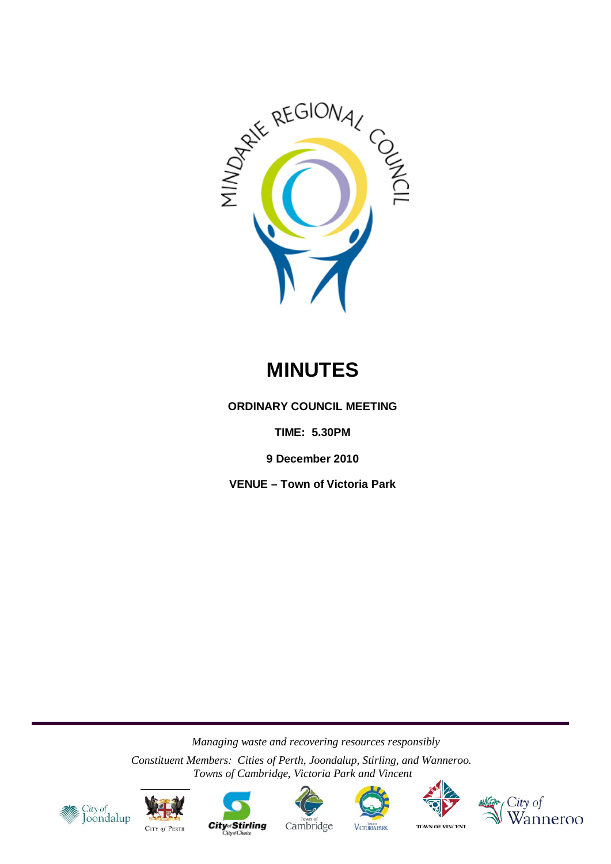

# **MINUTES**

**ORDINARY COUNCIL MEETING**

**TIME: 5.30PM**

**9 December 2010**

**VENUE – Town of Victoria Park**

*Managing waste and recovering resources responsibly*

*Constituent Members: Cities of Perth, Joondalup, Stirling, and Wanneroo. Towns of Cambridge, Victoria Park and Vincent*

















**City**<sub>of</sub> Stirling

Cambridge **VICTORIA PARK**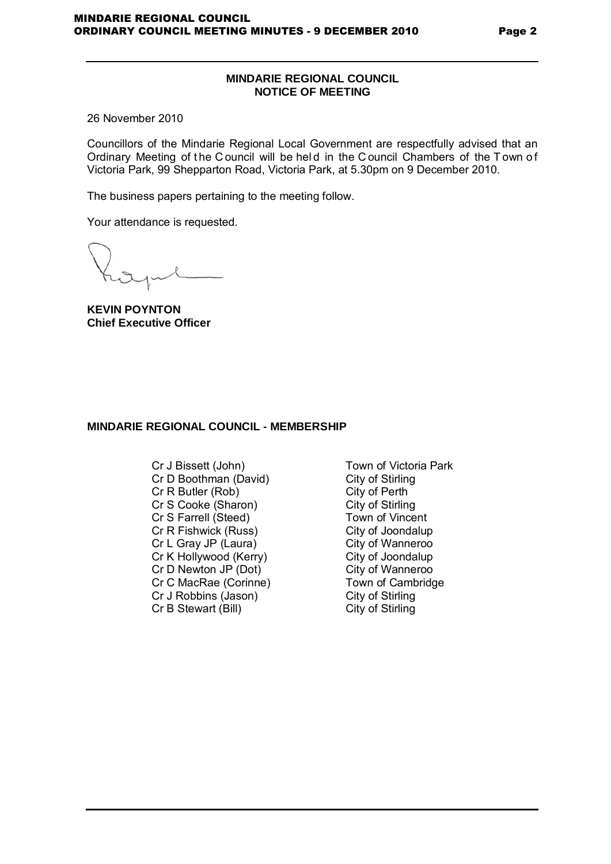#### Page 2

# **MINDARIE REGIONAL COUNCIL NOTICE OF MEETING**

26 November 2010

Councillors of the Mindarie Regional Local Government are respectfully advised that an Ordinary Meeting of the C ouncil will be held in the C ouncil Chambers of the T own of Victoria Park, 99 Shepparton Road, Victoria Park, at 5.30pm on 9 December 2010.

The business papers pertaining to the meeting follow.

Your attendance is requested.

**KEVIN POYNTON Chief Executive Officer**

# **MINDARIE REGIONAL COUNCIL - MEMBERSHIP**

- Cr J Bissett (John) Town of Victoria Park<br>
Cr D Boothman (David) City of Stirling Cr D Boothman (David) City of Stirling<br>Cr R Butler (Rob) City of Perth Cr R Butler (Rob) City of Perth<br>
Cr S Cooke (Sharon) City of Stirling Cr S Cooke (Sharon) City of Stirling<br>
Cr S Farrell (Steed) Cr S Town of Vincent Cr S Farrell (Steed) Cr R Fishwick (Russ) City of Joondalup Cr L Gray JP (Laura) City of Wanneroo<br>
Cr K Hollywood (Kerry) City of Joondalup Cr K Hollywood (Kerry) City of Joondalup<br>
Cr D Newton JP (Dot) City of Wanneroo Cr D Newton JP (Dot) City of Wanneroo<br>
Cr C MacRae (Corinne) Cr C MacRae (Corinne) Cr C MacRae (Corinne) Town of Cambridge Town of Cambridge Town of Cambridge Town of Cambridge Town of City of Stirling Cr J Robbins (Jason) City of Stirling<br>
Cr B Stewart (Bill) City of Stirling Cr B Stewart (Bill)
	-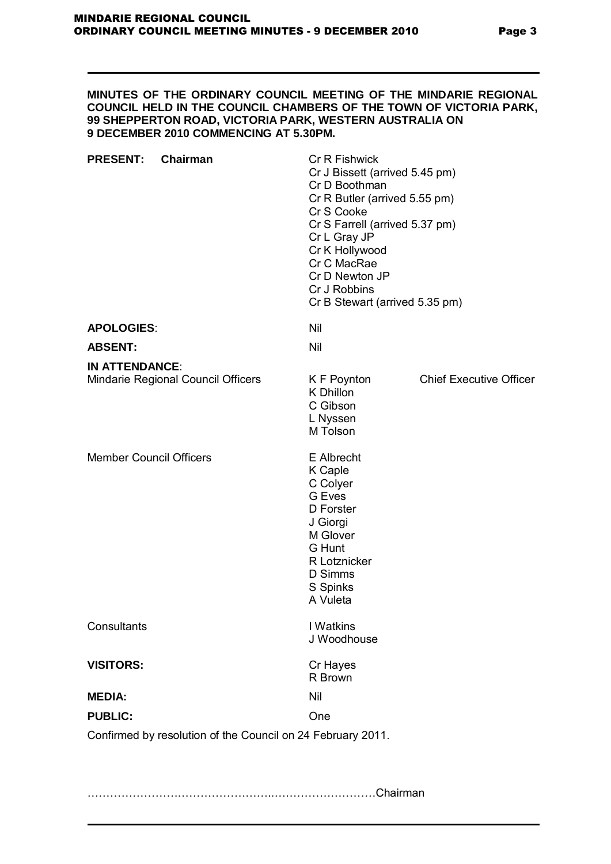#### **MINUTES OF THE ORDINARY COUNCIL MEETING OF THE MINDARIE REGIONAL COUNCIL HELD IN THE COUNCIL CHAMBERS OF THE TOWN OF VICTORIA PARK, 99 SHEPPERTON ROAD, VICTORIA PARK, WESTERN AUSTRALIA ON 9 DECEMBER 2010 COMMENCING AT 5.30PM.**

| <b>PRESENT:</b>                | Chairman                                                    | Cr R Fishwick<br>Cr J Bissett (arrived 5.45 pm)<br>Cr D Boothman<br>Cr R Butler (arrived 5.55 pm)<br>Cr S Cooke<br>Cr S Farrell (arrived 5.37 pm)<br>Cr L Gray JP<br>Cr K Hollywood<br>Cr C MacRae<br>Cr D Newton JP<br>Cr J Robbins<br>Cr B Stewart (arrived 5.35 pm) |                                |
|--------------------------------|-------------------------------------------------------------|------------------------------------------------------------------------------------------------------------------------------------------------------------------------------------------------------------------------------------------------------------------------|--------------------------------|
| <b>APOLOGIES:</b>              |                                                             | Nil                                                                                                                                                                                                                                                                    |                                |
| <b>ABSENT:</b>                 |                                                             | Nil                                                                                                                                                                                                                                                                    |                                |
| <b>IN ATTENDANCE:</b>          |                                                             |                                                                                                                                                                                                                                                                        |                                |
|                                | Mindarie Regional Council Officers                          | K F Poynton<br>K Dhillon<br>C Gibson<br>L Nyssen<br>M Tolson                                                                                                                                                                                                           | <b>Chief Executive Officer</b> |
| <b>Member Council Officers</b> |                                                             | E Albrecht<br>K Caple<br>C Colyer<br>G Eves<br>D Forster<br>J Giorgi<br>M Glover<br>G Hunt<br>R Lotznicker<br>D Simms<br>S Spinks<br>A Vuleta                                                                                                                          |                                |
| Consultants                    |                                                             | I Watkins<br>J Woodhouse                                                                                                                                                                                                                                               |                                |
| <b>VISITORS:</b>               |                                                             | Cr Hayes<br>R Brown                                                                                                                                                                                                                                                    |                                |
| <b>MEDIA:</b>                  |                                                             | Nil                                                                                                                                                                                                                                                                    |                                |
| <b>PUBLIC:</b>                 |                                                             | One                                                                                                                                                                                                                                                                    |                                |
|                                | Confirmed by resolution of the Council on 24 February 2011. |                                                                                                                                                                                                                                                                        |                                |

…………………………………………..………………………Chairman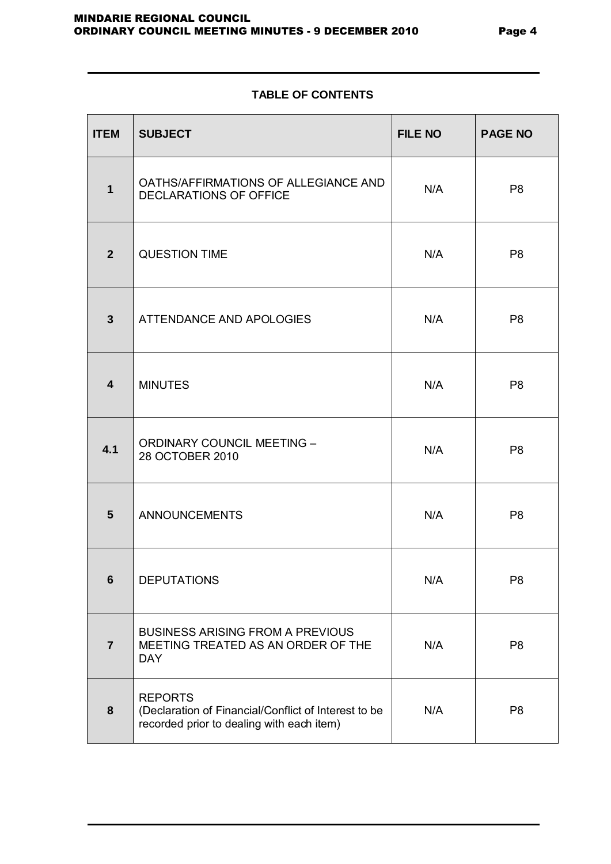# **TABLE OF CONTENTS**

| <b>ITEM</b>    | <b>SUBJECT</b>                                                                                                      | <b>FILE NO</b> | <b>PAGE NO</b> |
|----------------|---------------------------------------------------------------------------------------------------------------------|----------------|----------------|
| $\mathbf{1}$   | OATHS/AFFIRMATIONS OF ALLEGIANCE AND<br><b>DECLARATIONS OF OFFICE</b>                                               | N/A            | P <sub>8</sub> |
| 2 <sup>2</sup> | <b>QUESTION TIME</b>                                                                                                | N/A            | P <sub>8</sub> |
| $3\phantom{a}$ | ATTENDANCE AND APOLOGIES                                                                                            | N/A            | P <sub>8</sub> |
| 4              | <b>MINUTES</b>                                                                                                      | N/A            | P <sub>8</sub> |
| 4.1            | <b>ORDINARY COUNCIL MEETING -</b><br>28 OCTOBER 2010                                                                | N/A            | P <sub>8</sub> |
| 5              | <b>ANNOUNCEMENTS</b>                                                                                                | N/A            | P <sub>8</sub> |
| $6\phantom{1}$ | <b>DEPUTATIONS</b>                                                                                                  | N/A            | P <sub>8</sub> |
| $\overline{7}$ | <b>BUSINESS ARISING FROM A PREVIOUS</b><br>MEETING TREATED AS AN ORDER OF THE<br><b>DAY</b>                         | N/A            | P <sub>8</sub> |
| 8              | <b>REPORTS</b><br>(Declaration of Financial/Conflict of Interest to be<br>recorded prior to dealing with each item) | N/A            | P <sub>8</sub> |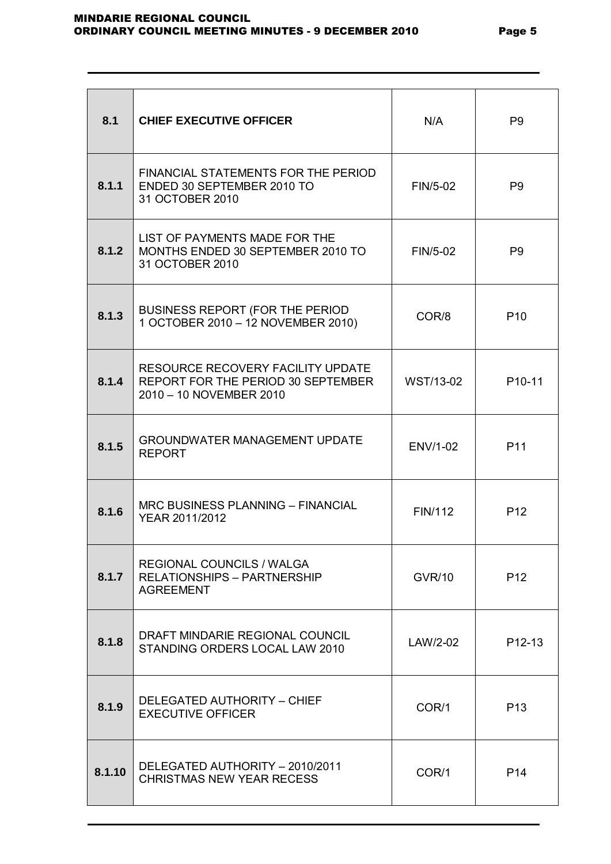| 8.1    | <b>CHIEF EXECUTIVE OFFICER</b>                                                                     | N/A           | P <sub>9</sub>      |
|--------|----------------------------------------------------------------------------------------------------|---------------|---------------------|
| 8.1.1  | FINANCIAL STATEMENTS FOR THE PERIOD<br>ENDED 30 SEPTEMBER 2010 TO<br>31 OCTOBER 2010               | FIN/5-02      | P <sub>9</sub>      |
| 8.1.2  | LIST OF PAYMENTS MADE FOR THE<br>MONTHS ENDED 30 SEPTEMBER 2010 TO<br>31 OCTOBER 2010              | FIN/5-02      | P <sub>9</sub>      |
| 8.1.3  | BUSINESS REPORT (FOR THE PERIOD<br>1 OCTOBER 2010 - 12 NOVEMBER 2010)                              | COR/8         | P <sub>10</sub>     |
| 8.1.4  | RESOURCE RECOVERY FACILITY UPDATE<br>REPORT FOR THE PERIOD 30 SEPTEMBER<br>2010 - 10 NOVEMBER 2010 | WST/13-02     | P <sub>10</sub> -11 |
| 8.1.5  | <b>GROUNDWATER MANAGEMENT UPDATE</b><br><b>REPORT</b>                                              | ENV/1-02      | P <sub>11</sub>     |
| 8.1.6  | MRC BUSINESS PLANNING - FINANCIAL<br>YEAR 2011/2012                                                | FIN/112       | P <sub>12</sub>     |
| 8.1.7  | <b>REGIONAL COUNCILS / WALGA</b><br><b>RELATIONSHIPS - PARTNERSHIP</b><br><b>AGREEMENT</b>         | <b>GVR/10</b> | P <sub>12</sub>     |
| 8.1.8  | DRAFT MINDARIE REGIONAL COUNCIL<br>STANDING ORDERS LOCAL LAW 2010                                  | LAW/2-02      | P12-13              |
| 8.1.9  | DELEGATED AUTHORITY - CHIEF<br><b>EXECUTIVE OFFICER</b>                                            | COR/1         | P <sub>13</sub>     |
| 8.1.10 | DELEGATED AUTHORITY - 2010/2011<br><b>CHRISTMAS NEW YEAR RECESS</b>                                | COR/1         | P <sub>14</sub>     |
|        |                                                                                                    |               |                     |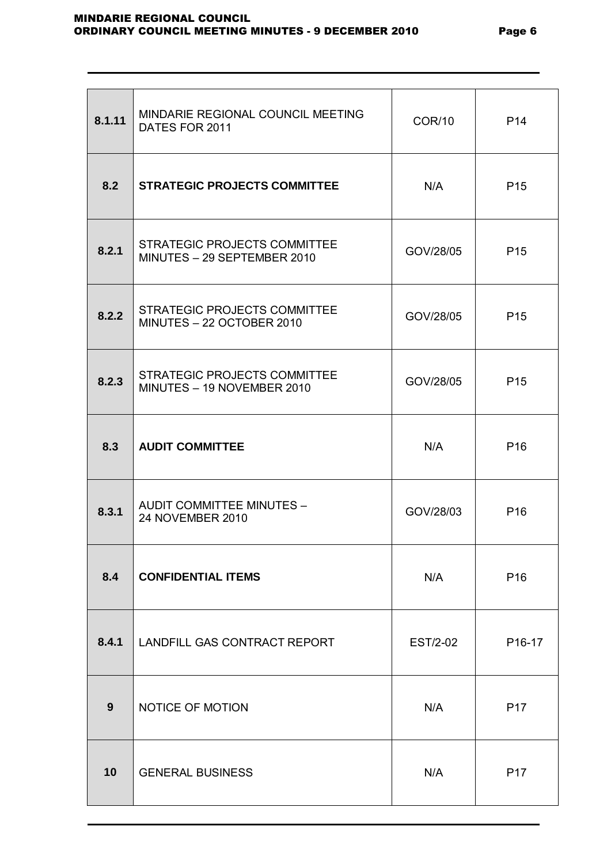| 8.1.11 | MINDARIE REGIONAL COUNCIL MEETING<br>DATES FOR 2011              | <b>COR/10</b> | P <sub>14</sub>    |
|--------|------------------------------------------------------------------|---------------|--------------------|
| 8.2    | <b>STRATEGIC PROJECTS COMMITTEE</b>                              | N/A           | P <sub>15</sub>    |
| 8.2.1  | STRATEGIC PROJECTS COMMITTEE<br>MINUTES - 29 SEPTEMBER 2010      | GOV/28/05     | P <sub>15</sub>    |
| 8.2.2  | <b>STRATEGIC PROJECTS COMMITTEE</b><br>MINUTES - 22 OCTOBER 2010 | GOV/28/05     | P <sub>15</sub>    |
| 8.2.3  | STRATEGIC PROJECTS COMMITTEE<br>MINUTES - 19 NOVEMBER 2010       | GOV/28/05     | P <sub>15</sub>    |
| 8.3    | <b>AUDIT COMMITTEE</b>                                           | N/A           | P <sub>16</sub>    |
| 8.3.1  | <b>AUDIT COMMITTEE MINUTES -</b><br>24 NOVEMBER 2010             | GOV/28/03     | P <sub>16</sub>    |
| 8.4    | <b>CONFIDENTIAL ITEMS</b>                                        | N/A           | P <sub>16</sub>    |
| 8.4.1  | <b>LANDFILL GAS CONTRACT REPORT</b>                              | EST/2-02      | P <sub>16-17</sub> |
| 9      | NOTICE OF MOTION                                                 | N/A           | P <sub>17</sub>    |
| 10     | <b>GENERAL BUSINESS</b>                                          | N/A           | P <sub>17</sub>    |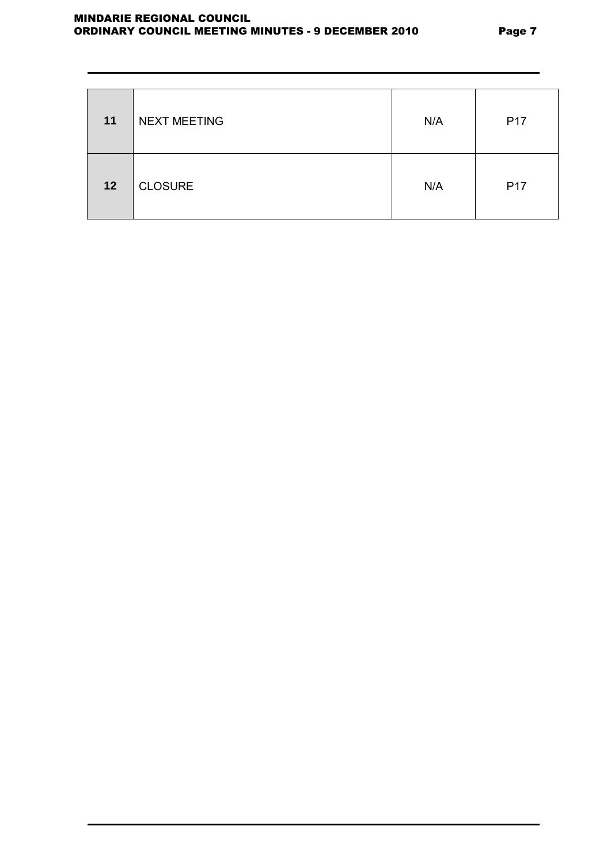| 11 | <b>NEXT MEETING</b> | N/A | P <sub>17</sub> |
|----|---------------------|-----|-----------------|
| 12 | <b>CLOSURE</b>      | N/A | P <sub>17</sub> |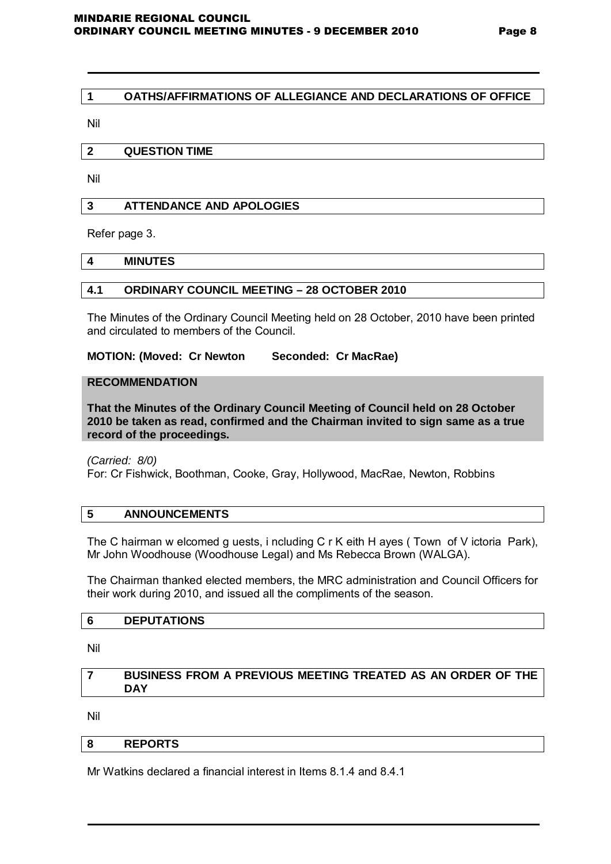# **1 OATHS/AFFIRMATIONS OF ALLEGIANCE AND DECLARATIONS OF OFFICE**

Nil

# **2 QUESTION TIME**

Nil

# **3 ATTENDANCE AND APOLOGIES**

Refer page 3.

# **4 MINUTES**

# **4.1 ORDINARY COUNCIL MEETING – 28 OCTOBER 2010**

The Minutes of the Ordinary Council Meeting held on 28 October, 2010 have been printed and circulated to members of the Council.

# **MOTION: (Moved: Cr Newton Seconded: Cr MacRae)**

# **RECOMMENDATION**

**That the Minutes of the Ordinary Council Meeting of Council held on 28 October 2010 be taken as read, confirmed and the Chairman invited to sign same as a true record of the proceedings.**

*(Carried: 8/0)* 

For: Cr Fishwick, Boothman, Cooke, Gray, Hollywood, MacRae, Newton, Robbins

# **5 ANNOUNCEMENTS**

The C hairman w elcomed g uests, i ncluding C r K eith H ayes ( Town of V ictoria Park), Mr John Woodhouse (Woodhouse Legal) and Ms Rebecca Brown (WALGA).

The Chairman thanked elected members, the MRC administration and Council Officers for their work during 2010, and issued all the compliments of the season.

#### **6 DEPUTATIONS**

Nil

# **7 BUSINESS FROM A PREVIOUS MEETING TREATED AS AN ORDER OF THE DAY**

Nil

# **8 REPORTS**

Mr Watkins declared a financial interest in Items 8.1.4 and 8.4.1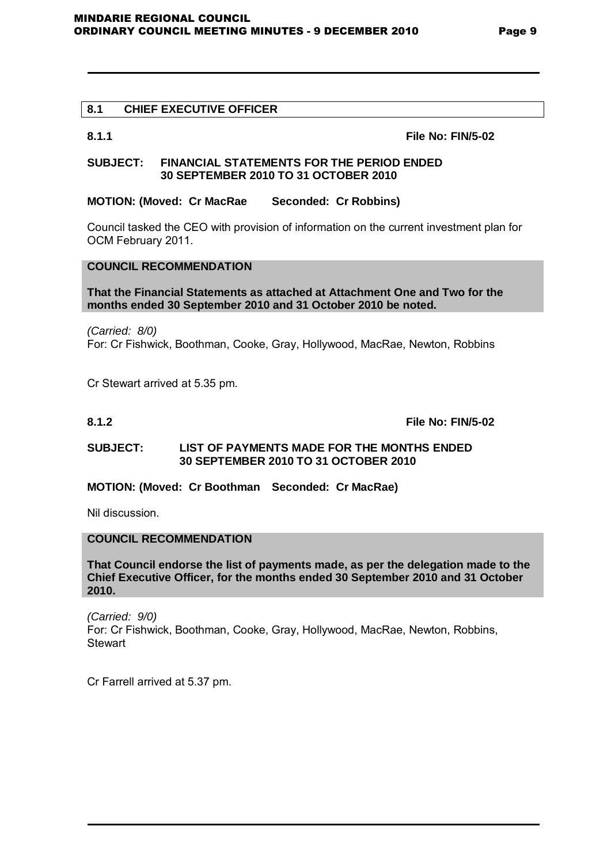# **8.1 CHIEF EXECUTIVE OFFICER**

**8.1.1 File No: FIN/5-02**

#### **SUBJECT: FINANCIAL STATEMENTS FOR THE PERIOD ENDED 30 SEPTEMBER 2010 TO 31 OCTOBER 2010**

# **MOTION: (Moved: Cr MacRae Seconded: Cr Robbins)**

Council tasked the CEO with provision of information on the current investment plan for OCM February 2011.

# **COUNCIL RECOMMENDATION**

#### **That the Financial Statements as attached at Attachment One and Two for the months ended 30 September 2010 and 31 October 2010 be noted.**

*(Carried: 8/0)*  For: Cr Fishwick, Boothman, Cooke, Gray, Hollywood, MacRae, Newton, Robbins

Cr Stewart arrived at 5.35 pm.

**8.1.2 File No: FIN/5-02**

# **SUBJECT: LIST OF PAYMENTS MADE FOR THE MONTHS ENDED 30 SEPTEMBER 2010 TO 31 OCTOBER 2010**

**MOTION: (Moved: Cr Boothman Seconded: Cr MacRae)** 

Nil discussion.

# **COUNCIL RECOMMENDATION**

**That Council endorse the list of payments made, as per the delegation made to the Chief Executive Officer, for the months ended 30 September 2010 and 31 October 2010.**

*(Carried: 9/0)*  For: Cr Fishwick, Boothman, Cooke, Gray, Hollywood, MacRae, Newton, Robbins, **Stewart** 

Cr Farrell arrived at 5.37 pm.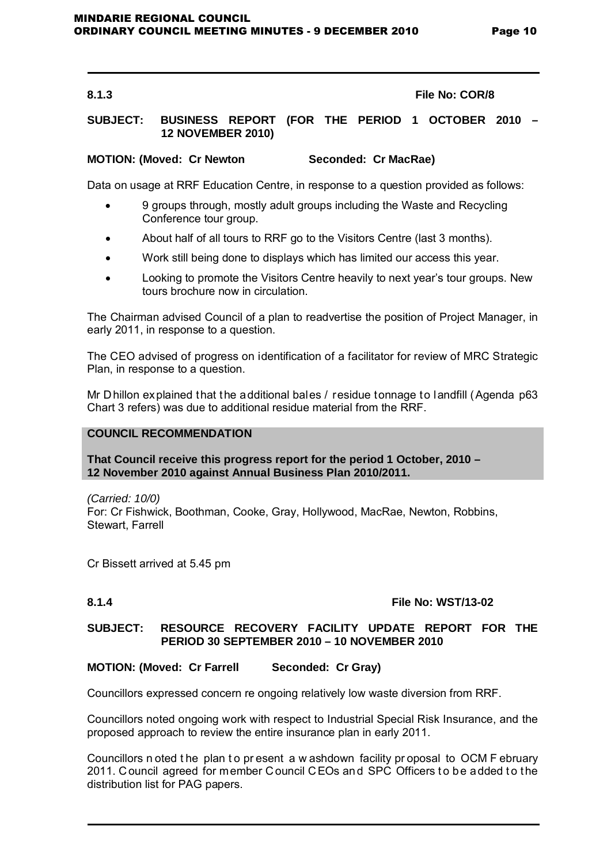#### **8.1.3 File No: COR/8**

# **SUBJECT: BUSINESS REPORT (FOR THE PERIOD 1 OCTOBER 2010 – 12 NOVEMBER 2010)**

# **MOTION: (Moved: Cr Newton Seconded: Cr MacRae)**

Data on usage at RRF Education Centre, in response to a question provided as follows:

- 9 groups through, mostly adult groups including the Waste and Recycling Conference tour group.
- About half of all tours to RRF go to the Visitors Centre (last 3 months).
- Work still being done to displays which has limited our access this year.
- Looking to promote the Visitors Centre heavily to next year's tour groups. New tours brochure now in circulation.

The Chairman advised Council of a plan to readvertise the position of Project Manager, in early 2011, in response to a question.

The CEO advised of progress on identification of a facilitator for review of MRC Strategic Plan, in response to a question.

Mr Dhillon explained that the additional bales / residue tonnage to landfill (Agenda p63 Chart 3 refers) was due to additional residue material from the RRF.

### **COUNCIL RECOMMENDATION**

#### **That Council receive this progress report for the period 1 October, 2010 – 12 November 2010 against Annual Business Plan 2010/2011.**

*(Carried: 10/0)*  For: Cr Fishwick, Boothman, Cooke, Gray, Hollywood, MacRae, Newton, Robbins, Stewart, Farrell

Cr Bissett arrived at 5.45 pm

#### **8.1.4 File No: WST/13-02**

# **SUBJECT: RESOURCE RECOVERY FACILITY UPDATE REPORT FOR THE PERIOD 30 SEPTEMBER 2010 – 10 NOVEMBER 2010**

#### **MOTION: (Moved: Cr Farrell Seconded: Cr Gray)**

Councillors expressed concern re ongoing relatively low waste diversion from RRF.

Councillors noted ongoing work with respect to Industrial Special Risk Insurance, and the proposed approach to review the entire insurance plan in early 2011.

Councillors n oted the plan to present a w ashdown facility proposal to OCM F ebruary 2011. Council agreed for member Council CEOs and SPC Officers to be added to the distribution list for PAG papers.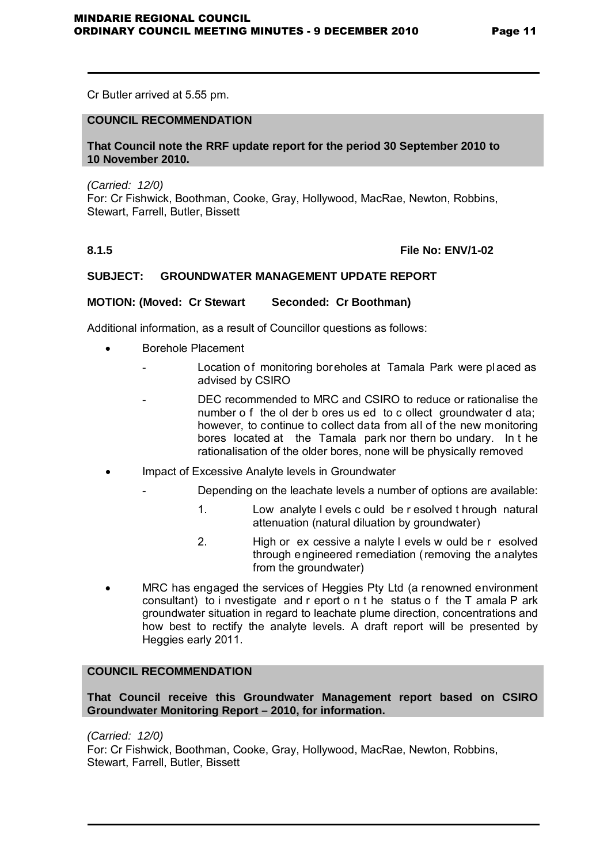Cr Butler arrived at 5.55 pm.

# **COUNCIL RECOMMENDATION**

#### **That Council note the RRF update report for the period 30 September 2010 to 10 November 2010.**

*(Carried: 12/0)*  For: Cr Fishwick, Boothman, Cooke, Gray, Hollywood, MacRae, Newton, Robbins, Stewart, Farrell, Butler, Bissett

# **8.1.5 File No: ENV/1-02**

# **SUBJECT: GROUNDWATER MANAGEMENT UPDATE REPORT**

# **MOTION: (Moved: Cr Stewart Seconded: Cr Boothman)**

Additional information, as a result of Councillor questions as follows:

- Borehole Placement
	- Location of monitoring boreholes at Tamala Park were placed as advised by CSIRO
		- DEC recommended to MRC and CSIRO to reduce or rationalise the number o f the ol der b ores us ed to c ollect groundwater d ata: however, to continue to collect data from all of the new monitoring bores located at the Tamala park nor thern bo undary. In t he rationalisation of the older bores, none will be physically removed
- Impact of Excessive Analyte levels in Groundwater
	- Depending on the leachate levels a number of options are available:
		- 1. Low analyte l evels c ould be r esolved t hrough natural attenuation (natural diluation by groundwater)
		- 2. High or ex cessive a nalyte l evels w ould be r esolved through engineered remediation (removing the analytes from the groundwater)
- MRC has engaged the services of Heggies Pty Ltd (a renowned environment consultant) to i nvestigate and r eport o n t he status o f the T amala P ark groundwater situation in regard to leachate plume direction, concentrations and how best to rectify the analyte levels. A draft report will be presented by Heggies early 2011.

# **COUNCIL RECOMMENDATION**

**That Council receive this Groundwater Management report based on CSIRO Groundwater Monitoring Report – 2010, for information.**

*(Carried: 12/0)*  For: Cr Fishwick, Boothman, Cooke, Gray, Hollywood, MacRae, Newton, Robbins, Stewart, Farrell, Butler, Bissett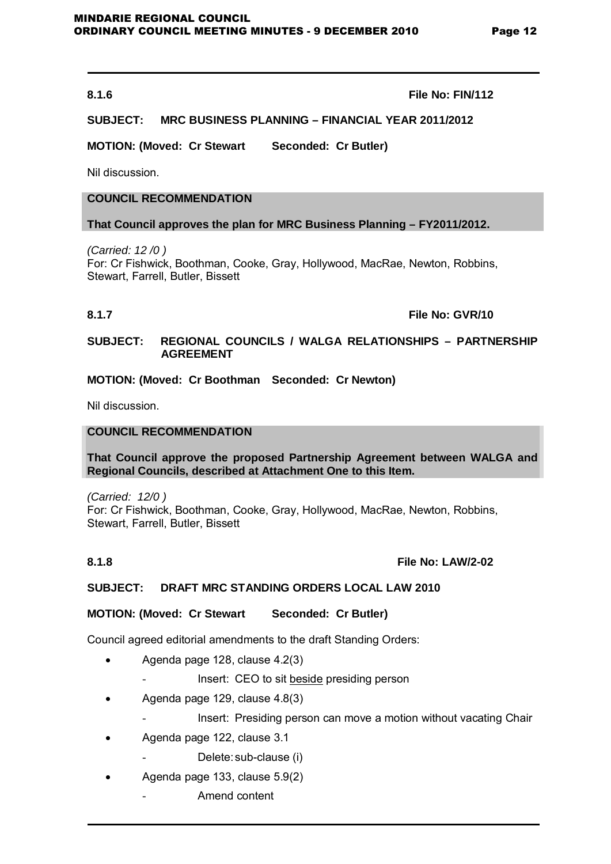#### **8.1.6 File No: FIN/112**

# **SUBJECT: MRC BUSINESS PLANNING – FINANCIAL YEAR 2011/2012**

**MOTION: (Moved: Cr Stewart Seconded: Cr Butler)** 

Nil discussion.

# **COUNCIL RECOMMENDATION**

#### **That Council approves the plan for MRC Business Planning – FY2011/2012.**

*(Carried: 12 /0 )*  For: Cr Fishwick, Boothman, Cooke, Gray, Hollywood, MacRae, Newton, Robbins, Stewart, Farrell, Butler, Bissett

**8.1.7 File No: GVR/10**

#### **SUBJECT: REGIONAL COUNCILS / WALGA RELATIONSHIPS – PARTNERSHIP AGREEMENT**

**MOTION: (Moved: Cr Boothman Seconded: Cr Newton)** 

Nil discussion.

# **COUNCIL RECOMMENDATION**

#### **That Council approve the proposed Partnership Agreement between WALGA and Regional Councils, described at Attachment One to this Item.**

*(Carried: 12/0 )*  For: Cr Fishwick, Boothman, Cooke, Gray, Hollywood, MacRae, Newton, Robbins, Stewart, Farrell, Butler, Bissett

#### **8.1.8 File No: LAW/2-02**

#### **SUBJECT: DRAFT MRC STANDING ORDERS LOCAL LAW 2010**

#### **MOTION: (Moved: Cr Stewart Seconded: Cr Butler)**

Council agreed editorial amendments to the draft Standing Orders:

- Agenda page 128, clause 4.2(3)
	- Insert: CEO to sit beside presiding person
- Agenda page 129, clause 4.8(3)
	- Insert: Presiding person can move a motion without vacating Chair
- Agenda page 122, clause 3.1
	- Delete: sub-clause (i)
- Agenda page 133, clause 5.9(2)
	- Amend content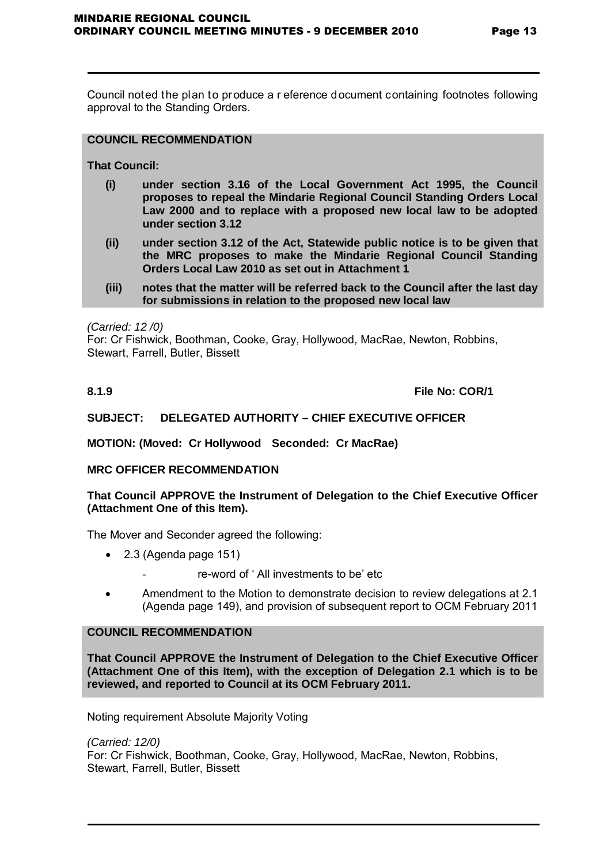Council noted the plan to produce a r eference document containing footnotes following approval to the Standing Orders.

# **COUNCIL RECOMMENDATION**

**That Council:**

- **(i) under section 3.16 of the Local Government Act 1995, the Council proposes to repeal the Mindarie Regional Council Standing Orders Local Law 2000 and to replace with a proposed new local law to be adopted under section 3.12**
- **(ii) under section 3.12 of the Act, Statewide public notice is to be given that the MRC proposes to make the Mindarie Regional Council Standing Orders Local Law 2010 as set out in Attachment 1**
- **(iii) notes that the matter will be referred back to the Council after the last day for submissions in relation to the proposed new local law**

*(Carried: 12 /0)* 

For: Cr Fishwick, Boothman, Cooke, Gray, Hollywood, MacRae, Newton, Robbins, Stewart, Farrell, Butler, Bissett

**8.1.9 File No: COR/1**

# **SUBJECT: DELEGATED AUTHORITY – CHIEF EXECUTIVE OFFICER**

**MOTION: (Moved: Cr Hollywood Seconded: Cr MacRae)** 

#### **MRC OFFICER RECOMMENDATION**

# **That Council APPROVE the Instrument of Delegation to the Chief Executive Officer (Attachment One of this Item).**

The Mover and Seconder agreed the following:

- 2.3 (Agenda page 151)
	- re-word of ' All investments to be' etc
- Amendment to the Motion to demonstrate decision to review delegations at 2.1 (Agenda page 149), and provision of subsequent report to OCM February 2011

#### **COUNCIL RECOMMENDATION**

**That Council APPROVE the Instrument of Delegation to the Chief Executive Officer (Attachment One of this Item), with the exception of Delegation 2.1 which is to be reviewed, and reported to Council at its OCM February 2011.**

Noting requirement Absolute Majority Voting

*(Carried: 12/0)*  For: Cr Fishwick, Boothman, Cooke, Gray, Hollywood, MacRae, Newton, Robbins, Stewart, Farrell, Butler, Bissett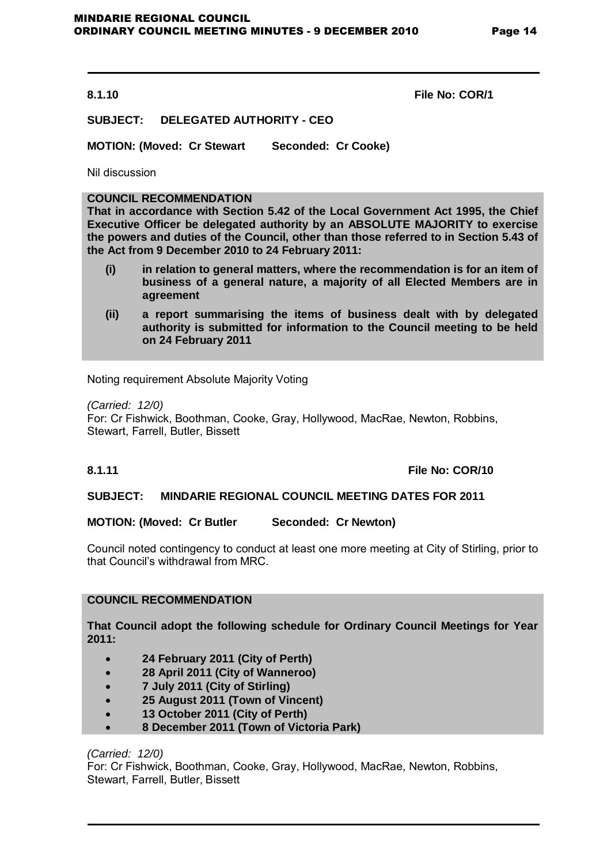**8.1.10 File No: COR/1**

# **SUBJECT: DELEGATED AUTHORITY - CEO**

**MOTION: (Moved: Cr Stewart Seconded: Cr Cooke)** 

Nil discussion

# **COUNCIL RECOMMENDATION**

**That in accordance with Section 5.42 of the Local Government Act 1995, the Chief Executive Officer be delegated authority by an ABSOLUTE MAJORITY to exercise the powers and duties of the Council, other than those referred to in Section 5.43 of the Act from 9 December 2010 to 24 February 2011:**

- **(i) in relation to general matters, where the recommendation is for an item of business of a general nature, a majority of all Elected Members are in agreement**
- **(ii) a report summarising the items of business dealt with by delegated authority is submitted for information to the Council meeting to be held on 24 February 2011**

Noting requirement Absolute Majority Voting

*(Carried: 12/0)*  For: Cr Fishwick, Boothman, Cooke, Gray, Hollywood, MacRae, Newton, Robbins, Stewart, Farrell, Butler, Bissett

# **8.1.11 File No: COR/10**

#### **SUBJECT: MINDARIE REGIONAL COUNCIL MEETING DATES FOR 2011**

# **MOTION: (Moved: Cr Butler Seconded: Cr Newton)**

Council noted contingency to conduct at least one more meeting at City of Stirling, prior to that Council's withdrawal from MRC.

# **COUNCIL RECOMMENDATION**

**That Council adopt the following schedule for Ordinary Council Meetings for Year 2011:**

- **24 February 2011 (City of Perth)**
- **28 April 2011 (City of Wanneroo)**
- **7 July 2011 (City of Stirling)**
- **25 August 2011 (Town of Vincent)**
- **13 October 2011 (City of Perth)**
- **8 December 2011 (Town of Victoria Park)**

*(Carried: 12/0)* 

For: Cr Fishwick, Boothman, Cooke, Gray, Hollywood, MacRae, Newton, Robbins, Stewart, Farrell, Butler, Bissett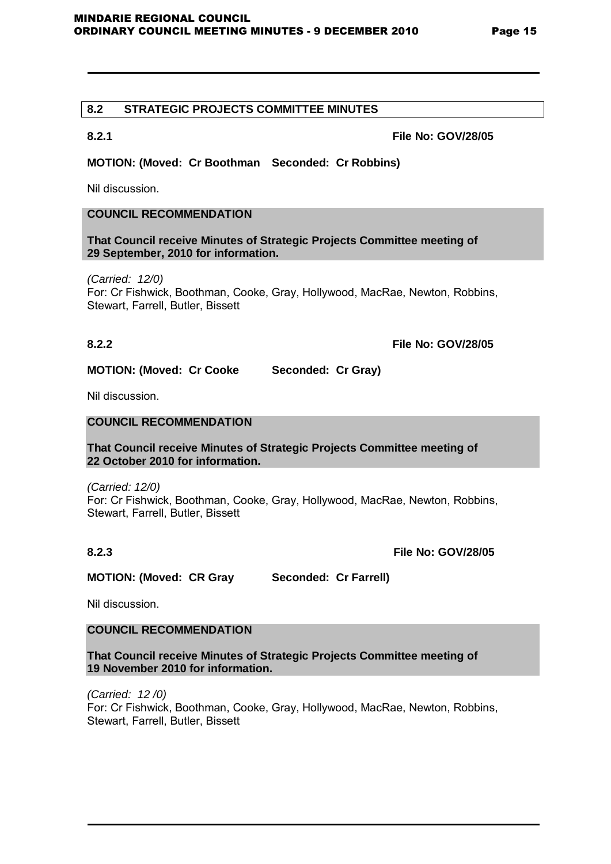# **8.2 STRATEGIC PROJECTS COMMITTEE MINUTES**

**8.2.1 File No: GOV/28/05**

# **MOTION: (Moved: Cr Boothman Seconded: Cr Robbins)**

Nil discussion.

# **COUNCIL RECOMMENDATION**

**That Council receive Minutes of Strategic Projects Committee meeting of 29 September, 2010 for information.**

*(Carried: 12/0)*  For: Cr Fishwick, Boothman, Cooke, Gray, Hollywood, MacRae, Newton, Robbins, Stewart, Farrell, Butler, Bissett

**8.2.2 File No: GOV/28/05**

**MOTION: (Moved: Cr Cooke Seconded: Cr Gray)** 

Nil discussion.

# **COUNCIL RECOMMENDATION**

**That Council receive Minutes of Strategic Projects Committee meeting of 22 October 2010 for information.**

*(Carried: 12/0)*  For: Cr Fishwick, Boothman, Cooke, Gray, Hollywood, MacRae, Newton, Robbins, Stewart, Farrell, Butler, Bissett

**8.2.3 File No: GOV/28/05**

**MOTION: (Moved: CR Gray Seconded: Cr Farrell)** 

Nil discussion.

# **COUNCIL RECOMMENDATION**

**That Council receive Minutes of Strategic Projects Committee meeting of 19 November 2010 for information.**

*(Carried: 12 /0)*  For: Cr Fishwick, Boothman, Cooke, Gray, Hollywood, MacRae, Newton, Robbins, Stewart, Farrell, Butler, Bissett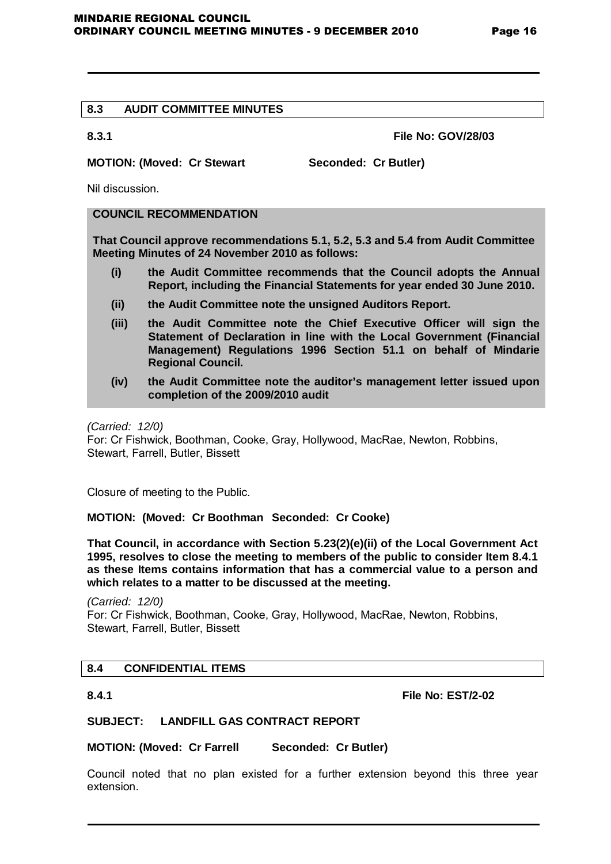# **8.3 AUDIT COMMITTEE MINUTES**

**8.3.1 File No: GOV/28/03**

# **MOTION: (Moved: Cr Stewart Seconded: Cr Butler)**

Nil discussion.

# **COUNCIL RECOMMENDATION**

**That Council approve recommendations 5.1, 5.2, 5.3 and 5.4 from Audit Committee Meeting Minutes of 24 November 2010 as follows:**

- **(i) the Audit Committee recommends that the Council adopts the Annual Report, including the Financial Statements for year ended 30 June 2010.**
- **(ii) the Audit Committee note the unsigned Auditors Report.**
- **(iii) the Audit Committee note the Chief Executive Officer will sign the Statement of Declaration in line with the Local Government (Financial Management) Regulations 1996 Section 51.1 on behalf of Mindarie Regional Council.**
- **(iv) the Audit Committee note the auditor's management letter issued upon completion of the 2009/2010 audit**

*(Carried: 12/0)*

For: Cr Fishwick, Boothman, Cooke, Gray, Hollywood, MacRae, Newton, Robbins, Stewart, Farrell, Butler, Bissett

Closure of meeting to the Public.

**MOTION: (Moved: Cr Boothman Seconded: Cr Cooke)**

**That Council, in accordance with Section 5.23(2)(e)(ii) of the Local Government Act 1995, resolves to close the meeting to members of the public to consider Item 8.4.1 as these Items contains information that has a commercial value to a person and which relates to a matter to be discussed at the meeting.** 

*(Carried: 12/0)* For: Cr Fishwick, Boothman, Cooke, Gray, Hollywood, MacRae, Newton, Robbins, Stewart, Farrell, Butler, Bissett

# **8.4 CONFIDENTIAL ITEMS**

**8.4.1 File No: EST/2-02**

#### **SUBJECT: LANDFILL GAS CONTRACT REPORT**

**MOTION: (Moved: Cr Farrell Seconded: Cr Butler)** 

Council noted that no plan existed for a further extension beyond this three year extension.